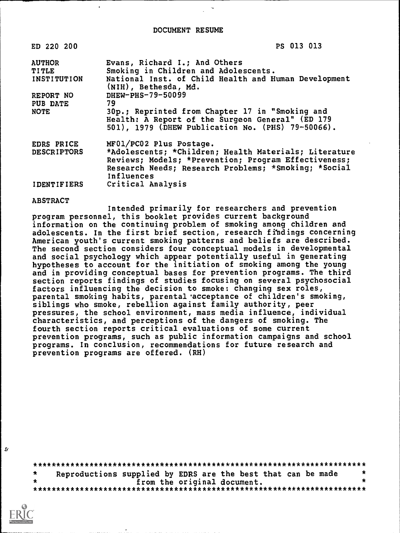DOCUMENT RESUME

| ED 220 200         | <b>PS 013 013</b>                                                                                                                                                                   |
|--------------------|-------------------------------------------------------------------------------------------------------------------------------------------------------------------------------------|
| <b>AUTHOR</b>      | Evans, Richard I.; And Others                                                                                                                                                       |
| <b>TITLE</b>       | Smoking in Children and Adolescents.                                                                                                                                                |
| INSTITUTION        | National Inst. of Child Health and Human Development<br>(NIH), Bethesda, Md.                                                                                                        |
| REPORT NO          | DHEW-PHS-79-50099                                                                                                                                                                   |
| PUB DATE           | 79                                                                                                                                                                                  |
| <b>NOTE</b>        | 30p.; Reprinted from Chapter 17 in "Smoking and<br>Health: A Report of the Surgeon General" (ED 179<br>501), 1979 (DHEW Publication No. (PHS) 79-50066).                            |
| EDRS PRICE         | MF01/PC02 Plus Postage.                                                                                                                                                             |
| <b>DESCRIPTORS</b> | *Adolescents; *Children; Health Materials; Literature<br>Reviews; Models; *Prevention; Program Effectiveness;<br>Research Needs; Research Problems; *Smoking; *Social<br>Influences |
| IDENTIFIERS        | Critical Analysis                                                                                                                                                                   |

ABSTRACT

Intended primarily for researchers and prevention program personnel, this booklet provides current background information on the continuing problem of smoking among children and adolescents. In the first brief section, research findings concerning American youth's current smoking patterns and beliefs are described. The second section considers four conceptual models in developmental and social psychology which appear potentially useful in generating hypotheses to account for the initiation of smoking among the young and in providing conceptual bases for prevention programs. The third section reports findings of studies focusing on several psychosocial factors influencing the decision to smoke: changing sex roles, parental smoking habits, parental'acceptance of children's smoking, siblings who smoke, rebellion against family authority, peer pressures, the school environment, mass media influence, individual characteristics, and perceptions of the dangers of smoking. The fourth section reports critical evaluations of some current prevention programs, such as public information campaigns and school programs. In conclusion, recommendations for future research and prevention programs are offered. (RH)

\*\*\*\*\*\*\*\*\*\*\*\*\*\*\*\*\*\*\*\*\*\*\*\*\*\*\*\*\*\*\*\*\*\*\*\*\*\*\*\*\*\*\*\*\*\*\*\*\*\*\*\*\*\*\*\*\*\*\*\*\*\*\*\*\*\*\*\*\*\*\* Reproductions supplied by EDRS are the best that can be made  $*$ \* from the original document. \* \*\*\*\*\*\*\*\*\*\*\*\*\*\*\*\*\*\*\*\*\*\*\*\*\*\*\*\*\*\*\*\*\*\*\*\*\*\*\*\*\*\*\*\*\*\*\*\*\*\*\*\*\*\*\*\*\*\*\*\*\*\*\*\*\*\*\*\*\*\*\*



Jy.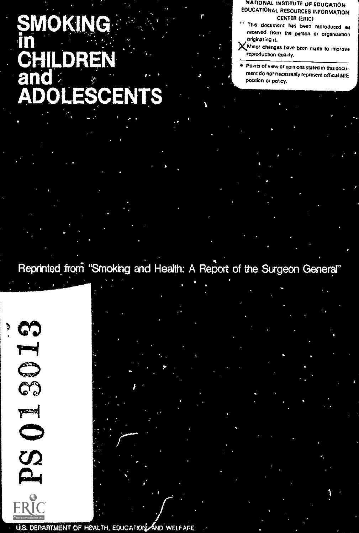# **SMOKING PHILDREN CENTS**

NATIONAL INSTITUTE OF EDUCATION EDUCATIONAL RESOURCES INFORMATION<br>CENTER (ERIC)

- CENTER IERICI<br>This document has been reproduced as received from the person or organization originating it
- XMinor changes have been made to improve reproduction quality,
- points of view or opinions stated in this docu ment do not necessarily represent officiel NIE position or poficy,

and Health: A Report of the Surgeon Gene

 $\blacktriangleright$ C  $\mathbb{C}^\mathfrak{H}$ r=i  $\overline{\phantom{a}}$  $52$ 

U.S. DEPARTMENT OF HEALTH, EDUCATION AND WELFARE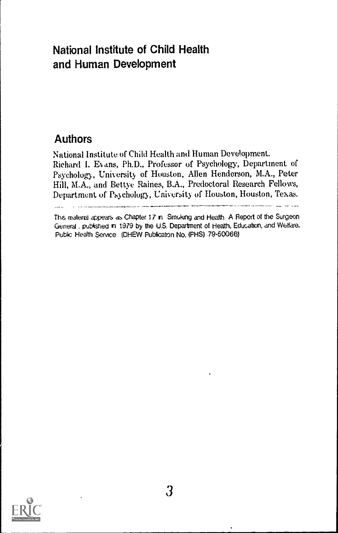# National Institute of Child Health and Human Development

## Authors

National Institute of Child Health and Human Development. Richard I. Evans, Ph.D., Professor of Psychology, Department of Psychology, University of Houston, Allen Henderson, M.A., Peter Hill, M.A., and Bettye Raines, B.A., Predoctoral Research Fellows, Department of Psychology, University of Houston, Houston, Texas.

This material appears as Chapter 17 in Smoking and Health A Report of the Surgeon General , published in 1979 by the U.S. Department of Health, Education, and Welfare. Public Health Service (DHEW Publication No. (PHS) 79-50066)

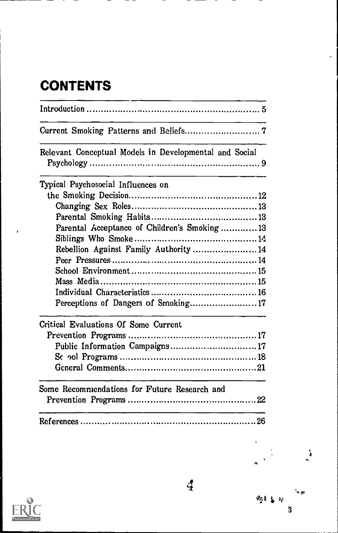# **CONTENTS**

| Relevant Conceptual Models in Developmental and Social |
|--------------------------------------------------------|
| Typical Psychosocial Influences on                     |
|                                                        |
|                                                        |
|                                                        |
| Parental Acceptance of Children's Smoking13            |
|                                                        |
| Rebellion Against Family Authority  14                 |
|                                                        |
|                                                        |
|                                                        |
|                                                        |
| Perceptions of Dangers of Smoking17                    |
| Critical Evaluations Of Some Current                   |
|                                                        |
| Public Information Campaigns17                         |
|                                                        |
|                                                        |
| Some Recommendations for Future Research and           |
|                                                        |
|                                                        |

4



ï

 $\sim$   $_{\odot}$ 嘲弄异种  $\ddot{\mathbf{3}}$ 

 $\mathbf{A}$ 

A

 $\ddot{\phantom{1}}$ 

 $\frac{1}{4}$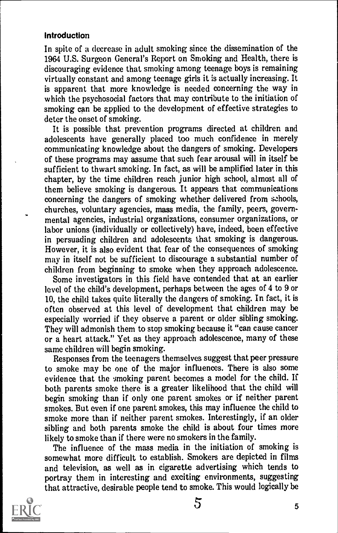#### Introduction

In spite of a decrease in adult smoking since the dissemination of the 1964 U.S. Surgeon General's Report on Smoking and Health, there is discouraging evidence that smoking among teenage boys is remaining virtually constant and among teenage girls it is actually increasing. It is apparent that more knowledge is needed concerning the way in which the psychosocial factors that may contribute to the initiation of smoking can be applied to the development of effective strategies to deter the onset of smoking.

It is possible that prevention programs directed at children and adolescents have generally placed too much confidence in merely communicating knowledge about the dangers of smoking. Developers of these programs may assume that such fear arousal will in itself be sufficient to thwart smoking. In fact, as will be amplified later in this chapter, by the time children reach junior high school, almost all of them believe smoking is dangerous. It appears that communications concerning the dangers of smoking whether delivered from szhools, churches, voluntary agencies, mass media, the family, peers, governmental agencies, industrial organizations, consumer organizations, or labor unions (individually or collectively) have, indeed, been effective in persuading children and adolescents that smoking is dangerous. However, it is also evident that fear of the consequences of smoking may in itself not be sufficient to discourage a substantial number of children from beginning to smoke when they approach adolescence.

Some investigators in this field have contended that at an earlier level of the child's development, perhaps between the ages of 4 to 9 or 10, the child takes quite literally the dangers of smoking. In fact, it is often observed at this level of development that children may be especially worried if they observe a parent or older sibling smoking. They will admonish them to stop smoking because it "can cause cancer or a heart attack." Yet as they approach adolescence, many of these same children will begin smoking.

Responses from the teenagers themselves suggest that peer pressure to smoke may be one of the major influences. There is also some evidence that the moking parent becomes a model for the child. If both parents smoke there is a greater likelihood that the child will begin smoking than if only one parent smokes or if neither parent smokes. But even if one parent smokes, this may influence the child to smoke more than if neither parent smokes. Interestingly, if an older sibling and both parents smoke the child is about four times more likely to smoke than if there were no smokers in the family.

The influence of the mass media in the initiation of smoking is somewhat more difficult to establish. Smokers are depicted in films and television, as well as in cigarette advertising which tends to portray them in interesting and exciting environments, suggesting that attractive, desirable people tend to smoke. This would logically be

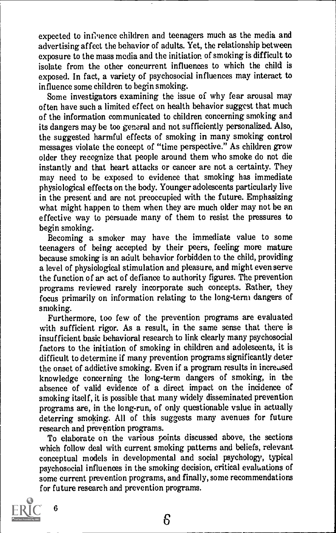expected to influence children and teenagers much as the media and advertising affect the behavior of adults. Yet, the relationship between exposure to the mass media and the initiation of smoking is difficult to isolate from the other concurrent influences to which the child is exposed. In fact, a variety of psychosocial influences may interact to influence some children to begin smoking.

Some investigators examining the issue of why fear arousal may often have such a limited effect on health behavior suggest that much of the information communicated to children concerning smoking and its dangers may be too general and not sufficiently personalized. Also, the suggested harmful effects of smoking in many smoking control messages violate the concept of "time perspective." As children grow older they recognize that people around them who smoke do not die instantly and that heart attacks or cancer are not a certainty. They may need to be exposed to evidence that smoking has immediate physiological effects on the body. Younger adolescents particularly live in the present and are not preoccupied with the future. Emphasizing what might happen to them when they are much older may not be an effective way to persuade many of them to resist the pressures to begin smoking.

Becoming a smoker may have the immediate value to some teenagers of being accepted by their peers, feeling more mature because smoking is an adult behavior forbidden to the child, providing a level of physiological stimulation and pleasure, and might even serve the function of an act of defiance to authority figures. The prevention programs reviewed rarely incorporate such concepts. Bather, they focus primarily on information relating to the long-term dangers of smoking.

Furthermore, too few of the prevention programs are evaluated with sufficient rigor. As a result, in the same sense that there is insufficient basic behavioral research to link clearly many psychosocial factors to the initiation of smoking in children and adolescents, it is difficult to determine if many prevention programs significantly deter the onset of addictive smoking. Even if a program results in increased knowledge concerning the long-term dangers of smoking, in the absence of valid evidence of a direct impact on the incidence of smoking itself, it is possible that many widely disseminated prevention programs are, in the long-run, of only questionable value in actually deterring smoking. All of this suggests many avenues for future research and prevention programs.

To elaborate on the various points discussed above, the sections which follow deal with current smoking patterns and beliefs, relevant conceptual models in developmental and social psychology, typical psychosocial influences in the smoking decision, critical evaluations of some current prevention programs, and finally, some recommendations for future research and prevention programs.

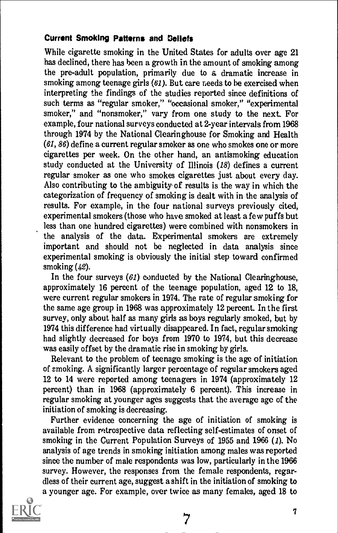### Current Smoking Patterns and Geliefs

While cigarette smoking in the United States for adults over age 21 has declined, there has been a growth in the amount of smoking among the pre-adult population, primarily due to a dramatic increase in smoking among teenage girls  $(61)$ . But care needs to be exercised when interpreting the findings of the studies reported since definitions of such terms as "regular smoker," "occasional smoker," "experimental smoker," and "nonsmoker," vary from one study to the next. For example, four national surveys conducted at 2-year intervals from 1968 through 1974 by the National Clearinghouse for Smoking and Health (61, 86) define a current regular smoker as one who smokes one or more cigarettes per week. On the other hand, an antismoking education study conducted at the University of Illinois (18) defines a current regular smoker as one who smokes cigarettes just about every day. Also contributing to the ambiguity of results is the way in which the categorization of frequency of smoking is dealt with in the analysis of results. For example, in the four national surveys previously cited, experimental smokers (those who have smoked at least a few puffs but less than one hundred cigarettes) were combined with nonsmokers in the analysis of the data. Experimental smokers are extremely important and should not be neglected in data analysis since experimental smoking is obviously the initial step toward confirmed smoking (42).

In the four surveys  $(61)$  conducted by the National Clearinghouse, approximately 16 percent of the teenage population, aged 12 to 18, were current regular smokers in 1974. The rate of regular smoking for the same age group in 1968 was approximately 12 percent. In the first survey, only about half as many girls as boys regularly smoked, but by 1974 this difference had virtually disappeared. In fact, regular smoking had slightly decreased for boys from 1970 to 1974, but this decrease was easily offset by the dramatic rise in smoking by girls.

Relevant to the problem of teenage smoking is the age of initiation of smoking. A significantly larger percentage of regular smokers aged 12 to 14 were reported among teenagers in 1974 (approximately 12 percent) than in 1968 (approximately 6 percent). This increase in regular smoking at younger ages suggests that the average age of the initiation of smoking is decreasing.

Further evidence concerning the age of initiation of smoking is available from retrospective data reflecting self-estimates of onset of smoking in the Current Population Surveys of 1955 and 1966 (1). No analysis of age trends in smoking initiation among males was reported since the number of male respondents was low, particularly in the 1966 survey. However, the responses from the female respondents, regardless of their current age, suggest a shift in the initiation of smoking to





'7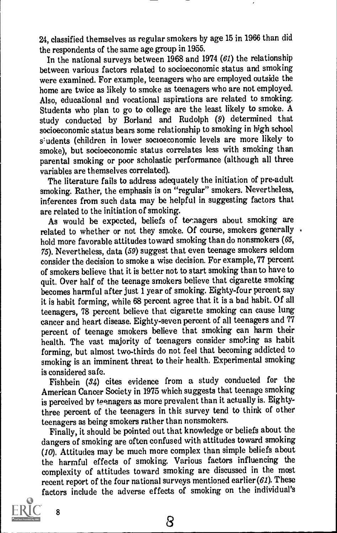24, classified themselves as regular smokers by age 15 in 1966 than did the respondents of the same age group in 1955.

In the national surveys between 1968 and 1974 (61) the relationship between various factors related to socioeconomic status and smoking were examined. For example, teenagers who are employed outside the home are twice as likely to smoke as teenagers who are not employed. Also, educational and vocational aspirations are related to smoking. Students who plan to go to college are the least likely to smoke. A study conducted by Borland and Rudolph (9) determined that socioeconomic status bears some relationship to smoking in high school s:udents (children in lower socioeconomic levels are more likely to smoke), but socioeconomic status correlates less with smoking than parental smoking or poor scholastic performance (although all three variables are themselves correlated).

The literature fails to address adequately the initiation of pre-adult smoking. Rather, the emphasis is on "regular" smokers. Nevertheless. inferences from such data may be helpful in suggesting factors that are related to the initiation of smoking.

As would be expected, beliefs of tecnagers about smoking are related to whether or not they smoke. Of course, smokers generally . hold more favorable attitudes toward smoking than do nonsmokers (65, 75). Nevertheless, data (59) suggest that even teenage smokers seldom consider the decision to smoke a wise decision. For example, 77 percent of smokers believe that it is better not to start smoking than to have to quit. Over half of the teenage smokers believe that cigarette smoking becomes harmful after just  $\overline{1}$  year of smoking. Eighty-four percent say it is habit forming, while 68 percent agree that it is a bad habit. Of all teenagers, 78 percent believe that cigarette smoking can cause lung cancer and heart disease. Eighty-seven percent of all teenagers and 77 percent of teenage smokers believe that smoking can harm their health. The vast majority of teenagers consider smoking as habit forming, but almost two-thirds do not feel that becoming addicted to smoking is an imminent threat to their health. Experimental smoking is considered safe.

Fishbein (84) cites evidence from a study conducted for the American Cancer Society in 1975 which suggests that teenage smoking is perceived by teenagers as more prevalent than it actually is. Eightythree percent of the teenagers in this survey tend to think of other teenagers as being smokers rather than nonsmokers.

Finally, it should be pointed out that knowledge or beliefs about the dangers of smoking are often confused with attitudes toward smoking (10). Attitudes may be much more complex than simple beliefs about the harmful effects of smoking. Various factors influencing the complexity of attitudes toward smoking are discussed in the most recent report of the four national surveys mentioned earlier (61). These factors include the adverse effects of smoking on the individual's

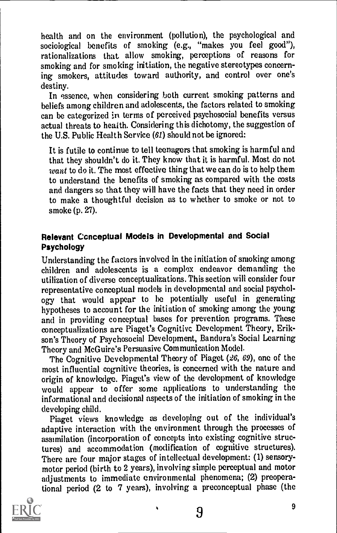health and on the environment (pollution), the psychological and socioiogical benefits of smoking (e.g., "makes you feel good"), rationalizations that allow smoking, perceptions of reasons for smoking and for smoking initiation, the negative stereotypes concerning smokers, attitudes toward authority, and control over one's destiny.

In essence, when considering both current smoking patterns and beliefs among children and adolescents, the factors related to smoking can be categorized in terms of perceived psychosocial benefits versus actual threats to health. Considering this dichotomy, the suggestion of the U.S. Public Health Service (61) should not be ignored:

It is futile to continue to tell teenagers that smoking is harmful and that they shouldn't do it. They know that it is harmful. Most do not want to do it. The most effective thing that we can do is to help them to understand the benefits of smoking as compared with the costs and dangers so that they will have the facts that they need in order to make a thoughtful decision as to whether to smoke or not to smoke (p. 27).

#### Relevant Conceptual Models in Developmental and Social Psychology

Understanding the factors involved in the initiation of smoking among children and adolescents is a complex endeavor demanding the utilization of diverse conceptualizations. This section will consider four representative conceptual models in developmental and social psychology that would appear to be potentially useful in generating hypotheses to account for the initiation of smoking among the young and in providing conceptual bases for prevention programs. These conceptualizations are Piaget's Cognitive Development Theory, Erikson's Theory of Psychosocial Development, Bandura's Social Learning Theory and McGuire's Persuasive Communication Model.

The Cognitive Developmental Theory of Piaget (26, 69), one of the most influential cognitive theories, is concerned with the nature and origin of knowledge. Piaget's view of the development of knowledge would appear to offer some applications to understanding the informational and decisional aspects of the initiation of smoking in the developing child.

Piaget views knowledge as developing out of the individual's adaptive interaction with the environment through the processes of assimilation (incorporation of concepts into existing cognitive structures) and accommodation (modification of cognitive structures). There are four major stages of intellectual development: (1) sensorymotor period (birth to 2 years), involving simple perceptual and motor adjustments to immediate environmental phenomena; (2) preoperational period (2 to 7 years), involving a preconceptual phase (the

 $\sim$  9

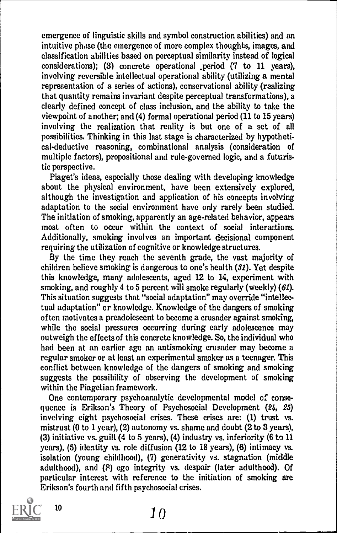emergence of linguistic skills and symbol construction abilities) and an intuitive phase (the emergence of more complex thoughts, images, and classification abilities based on perceptual similarity instead of logical considerations); (3) concrete operational period  $(7 \text{ to } 11 \text{ years})$ , involving reversible intellectual operational ability (utilizing a mental representation of a series of actions), conservational ability (rsalizing that quantity remains invariant despite perceptual transformations), a clearly defined concept of class inclusion, and the ability to take the viewpoint of another; and (4) formal operational period (11 to 15 years) involving the realization that reality is but one of a set of all possibilities. Thinking in this last stage is characterized by hypothetical-deductive reasoning, combinational analysis (consideration of multiple factors), propositional and rule-governed logic, and a futuristic perspective.

Piaget's ideas, especially those dealing with developing knowledge about the physical environment, have been extensively explored, although the investigation and application of his concepts involving adaptation to the social environment have only rarely been studied. The initiation of smoking, apparently an age-related behavior, appears most often to occur within the context of social interactions. Additionally, smoking involves an important decisional component requiring the utilization of cognitive or knowledge structures.

By the time they reach the seventh grade, the vast majority of children believe smoking is dangerous to one's health  $(31)$ . Yet despite this knowledge, many adolescents, aged 12 to 14, experiment with smoking, and roughly 4 to 5 percent will smoke regularly (weekly) (61). This situation suggests that "social adaptation" may override "intellectual adaptation" or knowledge, Knowledge of the dangers of smoking often motivates a preadoiescent to become a crusader against smoking, while the social pressures occurring during early adolescence may outweigh the effects of this concrete knowledge. So, the individual who had been at an earlier age an antismoking crusader may become a regular smoker or at least an experimental smoker as a teenager. This conflict between knowledge of the dangers of smoking and smoking suggests the possibility of observing the development of smoking within the Piagetian framework.

One contemporary psychoanalytic developmental model of consequence is Erikson's Theory of Psychosocial Development (24, 25) involving eight psychosocial crises. These crises are: (1) trust vs. mistrust (0 to 1 year), (2) autonomy vs. shame and doubt (2 to 3 years), (3) initiative vs. guilt (4 to 5 years), (4) industry vs. inferiority (6 to 11 years), (5) identity vs. role diffusion (12 to 18 years), (6) intimacy vs. isolation (young childhood), (7) generativity vs. stagnation (middle adulthood), and (8) ego integrity vs. despair (later adulthood). Of particular interest with reference to the initiation of smoking are Erikson's fourth and fifth psychosocial crises.

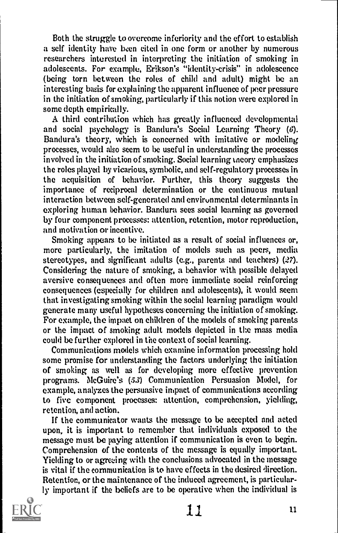Both the struggle to overcome inferiority and the effort to establish a self identity have been cited in one form or another by numerous researchers interested in interpreting the initiation of smoking in adolescents. For example, Erikson's "identity-crisis" in adolescence (being torn between the roles of child and adult) might be an interesting basis for explaining the apparent influence of peer pressure in the initiation of smoking, particularly if this notion were explored in some depth empirically.

A third contribution which has greatly influenced developmental and social psychology is Bandura's Social Learning Theory (6). Bandura's theory, which is concerned with imitative or modeling processes, would also seem to be useful in understanding the processes involved in the initiation of smoking. Social learning tneory emphasizes the roles played by vicarious, symbolic, and self-regulatory processes in the acquisition of behavior. Further, this theory suggests the importance of reciprocal determination or the continuous mutual interaction between self-generated and envirunmental determinants in exploring human behavior. Bandura sees social learning as governed by four component processes: attention, retention, motor reproduction, and motivation or incentive.

Smoking appears to be initiated as a result of social influences or, more particularly, the imitation of models such as peers, media stereotypes, and significant adults (e.g., parents and teachers) (27). Considering the nature of smoking, a behavior with possible delayed aversive consequences and often more immediate social reinforcing consequences (especially for children and adolescents), it would seem that investigating smoking within the social learning paradigm would generate many useful hypotheses concerning the initiation of smoking. For example, the impact on children of the models of smoking parents or the impact of smoking adult models depicted in the mass media could be further explored in the context of social learning.

Communications models which examine information processing hold some promise for understanding the factors underlying the initiation of smoking as well as for developing more effective prevention programs. McGuire's (53) Communication Persuasion Model, for example, analyzes the persuasive inipact of communications according to five component processes: attention, comprehension, yielding, retention, and action.

If the communicator wants the message to be accepted and acted upon, it is important to remember that individuals exposed to the message must be paying attention if communication is even to begin. Comprehension of the contents of the message is equally important. Yielding to or agreeing with the conclusions advocated in the message is vital if the communication is to have effects in the desired direction. Retention, or the maintenance of the induced agreement, is particularly important if the beliefs are to be operative when the individual is

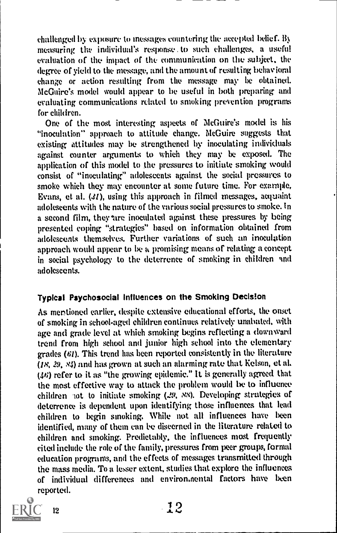challenged by exposure to inessages countering the accepted belief. By measuring the individual's response . to stall challenges. a useful evaluation of the impact of the communication on the subject, the degree of yield to the message, and the amount of resulting behavioral change or action resulting from the message may be obtained. McGuire's model would appear to be useful in both preparing and evaluating communications related to smoking prevention programs for children.

One of the most interesting aspects of McGuire's model is his "inoculation" approach to attitude change. McGuire suggests that existing attitudes may be strengthened by inoculating individuals against counter arguments to which they may be exposed. The application of this model to the pressures to initiate smoking would consist of "inoculating" adolescents against the social pressures to smoke which they may encounter al some future time. For example, Evans, et al.  $(31)$ , using this approach in filmed messages, acquaint adolescents with the nature of the various social pressures to smoke. In a second film, they are inoculated against these pressures by being presented coping "strategies" based on information obtained from adolescents themselves. Further variations of such an inoculation approach would appear to be a promising means of relating a concept in social asychology to the deterrence of smoking in children and adolescents.

#### Typical Psychosocial influences on the Smoking Deciston

As mentioned earlier, despite extensive educational efforts, the onset of smoking in school-aged children continues relatively unabated, with age and grade level at which smoking begins reflecting a downward trend from high school and junior high school into the elementary grades  $(61)$ . This trend has been reported consistently in the literature  $(x, 29, 84)$  and has grown at such an alarming rate that Kelson, et al. (40 refer to it as "the growing epidemic." It. is generally agreed that the most effective way to attack the problem would be to influence children not to initiate smoking  $(29, 88)$ . Developing strategies of deterrence is dependent upon identifying those influences that lead children to begin smoking. While not all influences have been identified, many of them can be discerned in the literature related to children and smoking. Predictably, the influences most frequently cited include the role of the family, pressures from peer groups, formal education programs, and the effects of messages transmitted through the mass media. To a lesser extent, studies that explore the influences of individual differences and environ.nental factors have ken reported.

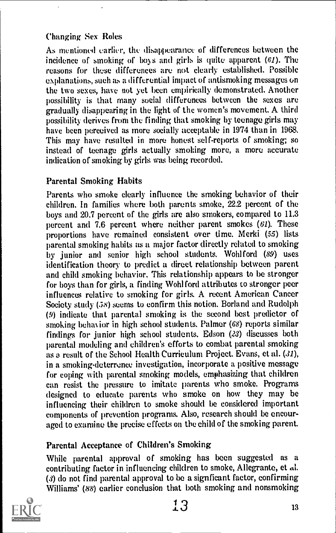#### Changing Sex Roles

As mentioned earlier, the disappearance of differences between the incidence of smoking of boys and girls is quite apparent (61). The reasons for these differences are not clearly established. Possible explanations, such as a differential impact of antismoking messages on the two sexes, have not yet been empirically demonstrated. Another possibility is that many social differences between the sexes are gradually disappearing in the light of the women's movement. A third possibility derives from the finding that smoking by teenage girls may have been perceived as more socially acceptable in 1974 than in 1968. This may have resulted in more honest self-reports of smoking; so instead of teenage girls actually smoking more, a more accurate indication of smoking by girls was being recorded.

#### Parental Smoking Habits

Parents who smoke clearly influence the smoking behavior of their children. In families where both parents smoke, 22.2 percent of the boys and 20.7 percent of the girls are also smokers, compared to 113 percent and 7.6 percent where neither parent smokes (61). These proportions have remained consistent over time. Merki (55) lists parental smoking habits as a major factor directly related to smoking by junior and senior high school students. Wohlford (89) uses identification theory to predict a direct relationship between parent and child smoking behavior. This relationship appears to be stronger for boys than for girls, a finding Wohl ford attributes to stronger peer influences relative to smoking for girls. A recent American Cancer Society study (38) seems to confirm this notion. Borland and Rudolph (9) indicate that parental smoking is the second best predictor of smoking behavior in high school students. Palmer (68) reports similar findings for junior high school students. Edson (23) discusses both parental modeling and children's efforts to combat parental smoking as a result of the School Health Curriculum Project. Evans, et al. (31), in a smoking-deterrence investigation, incorporate a positive message for coping with parental smoking models, emphasizing that children can resist the pressure to imitate parents who smoke. Programs designed to educate parents who smoke on how they may be influencing their children to smoke should be considered important components of prevention programs. Also, research should be encouraged to examine the precise effects on the child of the smoking parent.

#### Parental Acceptance of Children's Smoking

While parental approval of smoking has been suggested as a contributing factor in influencing children to smoke, Allegrante, et al (3) do not find parental approval to be a signficant factor, confirming Williams' (88) earlier conclusion that both smoking and nonsmoking

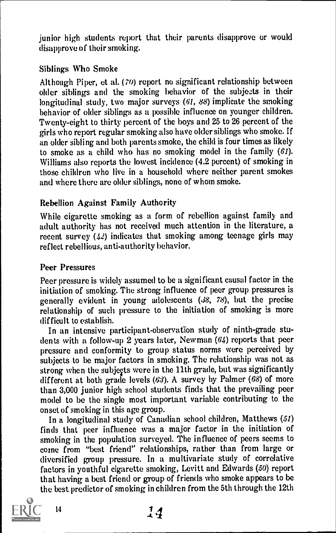junior high students report that their parents disapprove or would disapprove of their smoking.

#### Siblings Who Smoke

Although Piper, et al. (70) report no significant relationship between older siblings and the smoking behavior of the subjects in their longitudinal study, two major surveys (61, 88) implicate the smoking behavior of older siblings as a possible influence on younger children. Twenty-eight to thirty percent of the boys and 25 to 26 percent of the girls who report regular smoking also have older siblings who smoke. If an older sibling and both parents smoke, the child is four times as likely to smoke as a child who has no smoking model in the family (61). Williams also reports the lowest incidence (4.2 percent) of smoking in those children who live in a household where neither parent smokes and where there are older siblings, none of whom smoke.

#### Rebellion Against Family Authority

While cigarette smoking as a form of rebellion against family and adult authority has not received much attention in the literature, a recent survey  $(42)$  indicates that smoking among teenage girls may reflect rebellious, anti-authority behavior.

#### Peer Pressures

Peer pressure is widely assumed to be a significant causal factor in the initiation of smoking. The strong influence of peer group pressures is generally evident in young adolescents (28, 78), but the precise relationship of such pressure to the initiation of smoking is more difficult to establish.

In an intensive participant-observation study of ninth-grade students with a follow-up 2 years later, Newman (64) reports that peer pressure and conformity to group status norms were perceived by subjects to be major factors in smoking. The relationship was not as strong when the subjects were in the 11th grade, but was significantly different at both grade levels (63). A survey by Palmer (68) of more than 3,000 junior high school students finds that the prevailing peer model to be the single most important variable contributing to the onset of smoking in this age group.

In a longitudinal study of Canadian school children, Matthews (51) finds that peer influence was a major factor in the initiation of smoking in the population surveyed. The influence of peers seems to come from "best friend" relationships, rather than from large or diversified group pressure. In a multivariate study of correlative factors in youthful cigarette smoking, Levitt and Edwards (50) report that having a best friend or group of friends who smoke appears to be the best predictor of smoking in children from the 5th through the 12th

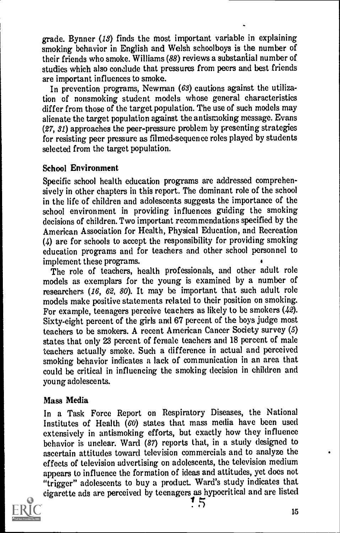grade. Bynner (13) finds the most important variable in explaining smoking behavior in English and Welsh schoolboys is the number of their friends who smoke. Williams (88) reviews a substantial number of studies which also conclude that pressures from peers and best friends are important influences to smoke.

In prevention programs, Newman (63) cautions against the utilization of nonsmoking student models whose general characteristics differ from those of the target population. The use of such models may alienate the target population against the antismoking message. Evans (27, 31) approaches the peer-pressure problem by presenting strategies for resisting peer pressure as filmed-sequence roles played by students selected from the target population.

#### School Environment

Specific school health education programs are addressed comprehensively in other chapters in this report. The dominant role of the school in the life of children and adolescents suggests the importance of the school environment in providing influences guiding the smoking decisions of children. Two important recommendations specified by the American Association for Health, Physical Education, and Recreation (4) are for schools to accept the responsibility for providing smoking education programs and for teachers and other school personnel to

implement these programs.<br>The role of teachers, health professionals, and other adult role models as exemplars for the young is examined by a number of researchers (16, 62, 80). It may be important that such adult role models make positive statements related to their position on smoking. For example, teenagers perceive teachers as likely to be smokers (42). Sixty-eight percent of the girls and 67 percent of the boys judge most teachers to be smokers. A recent American Cancer Society survey (5) states that only 23 percent of female teachers and 18 percent of male teachers actually smoke. Such a difference in actual and perceived smoking behavior indicates a lack of communication in an area that could be critical in influencing the smoking decision in children and young adolescents.

#### Mass Media

In a Task Force Report on Respiratory Diseases, the National Institutes of Health (60) states that mass media have been used extensively in antismoking efforts, but exactly how they influence behavior is unclear. Ward (87) reports that, in a study designed to ascertain attitudes toward television commercials and to analyze the effects of television advertising on adolescents, the television medium appears to influence the formation of ideas and attitudes, yet does not "trigger" adolescents to buy a product. Ward's study indicates that cigarette ads are perceived by teenagers as hypocritical and are listed  $\frac{1}{2}$ 

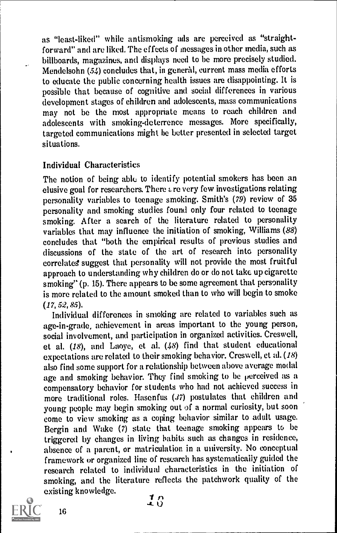as "least-liked" while antismoking ads are perceived as "straightforward" and are liked. The effects of messages in other media, such as billboards, magazines, and displays need to be more precisely studied. Mendelsohn (54) concludes that, in general, current mass media efforts to educate the public concerning health issues are disappointing. It is possible that because of cognitive and social differences in various development stages of children and adolescents, mass communications may not be the most appropriate means to reach children and adolescents with smoking-deterrence messages. More specifically, targeted communications might be better presented in selected target situations.

#### Individual Characteristics

The notion of being able to identify potential smokers has been an elusive goal for researchers. There z. re very few investigations relating personality variables to teenage smoking. Smith's  $(79)$  review of 35 personality and smoking studies found only four related to teenage smoking. After a search of the literature related to personality variables that may influence the initiation of smoking, Williams (88) concludes that "both the empirical results of previous studies and discussions of the state of the art of research into personality correlates suggest that personality will not provide the most fruitful approach to understanding why children do or do not take up cigarette smoking" (p. 15). There appears to be some agreement that personality is more related to the amount smoked than to who will begin to smoke (17, 52, 85),

Individual differences in smoking are related to variables such as age-in-grade, achievement in areas important to the young person, social involvement, and participation in organized activities. Creswell, et al. (18), and Laoye, et al. (48) find that student educational expectations are related to their smoking behavior. Creswell, et al. (18) also find some support for a relationship between above average modal age and smoking behavior. They find smoking to be perceived as a compensatory behavior for students who had not achieved success in more traditional roles. Hasenfus (37) postulates that children and young people may begin smoking out of a normal curiosity, but soon come to view smoking as a coping behavior similar to adult usage. Bergin and Wake  $(7)$  state that teenage smoking appears to be triggered by changes in living habits such as changes in residence, absence of a parent, or matriculation in a university. No conceptual framework or organized line of research has systematically guided the research related to individual characteristics in the initiation of smoking, and the literature reflects the patchwork quality of the existing knowledge.



 $\frac{1}{2}$   $\frac{n}{2}$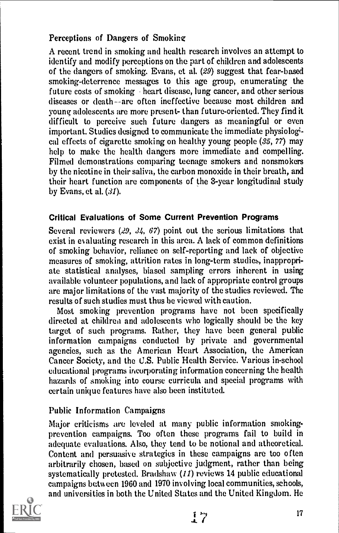#### Perceptions of Dangers of Smokinz

A recent trend in smoking and health research involves an attempt to identify and modify perceptions on the part of children and adolescents of the dangers of smoking. Evans, et al. (29) suggest that fear-based smoking-deterrence messages to this age group, enumerating the future costs of smoking heart disease, lung cancer, and other serious diseases or death --are often ineffective because most children and young adolescents are more present- than future-oriented. They find it difficult to perceive such future dangers as meaningful or even important. Studies designed to communicate the immediate physiological effects of cigarette smoking on healthy young people  $(35, 77)$  may help to make the health dangers more immediate and compelling. Filmed demonstrations comparing teenage smokers and nonsmokers by the nicotine in their saliva, the carbon monoxide in their breath, and their heart function are components of the 3-year longitudinal study by Evans, et al.  $(31)$ .

#### Critical Evaluations of Some Current Prevention Programs

Several reviewers  $(29, 34, 67)$  point out the serious limitations that exist in evaluating research in this area. A lack of common definitions of smoking behavior, reliance on self-reporting and lack of objective measures of smoking, attrition rates in long-term studies, inappropriate statistical analyses, biased sampling errors inherent in using available volunteer populations, and lack of appropriate control groups are major limitations of the vast majority of the studies reviewed. The results of such studies must thus be viewed with caution.

Most smoking prevention programs have not been specifically directed at childrea and adolescents who logically should be the key target of such programs. Rather, they have been general public information campaigns conducted by private and governmental agencies, such as the American Heart Association, the American Cancer Society, and the C.S. Public Health Service. Various in-school educational programs incorporating information concerning the health hazards of smoking into course curricula and special programs with certain unique features have also been instituted.

#### Public Information Campaigns

Major criticisms are leveled at many public information smokingprevention campaigns. Too often these programs fail to build in adequate evaluations. Also, they tend to be notional and atheoretical. Content and persuasive strategies in these campaigns are too often arbitrarily chosen, based on subjective judgment, rather than being systematically pretested. Bradshaw  $(11)$  reviews 14 public educational campaigns between 1960 and 1970 involving local communities, schools, and universities in both the United States and the United Kingdom. He

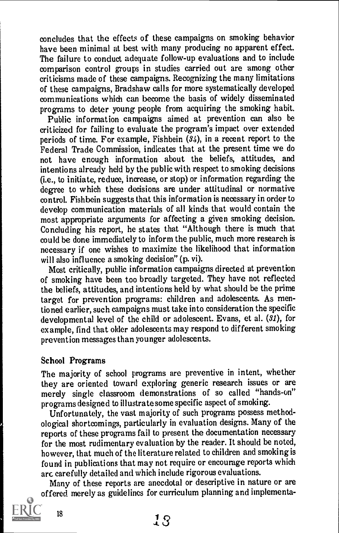concludes that the effects of these campaigns on smoking behavior have been minimal at best with many producing no apparent effect. The failure to conduct adequate follow-up evaluations and to include comparison control groups in studies carried out are among other criticisms made of these campaigns. Recognizing the many limitations of these campaigns, Bradshaw calls for more systematically developed communications which can become the basis of widely disseminated programs to deter young people from acquiring the smoking habit.

Public information campaigns aimed at prevention can also be criticized for failing to evaluate the program's impact over extended periods of time. For example, Fishbein  $(34)$ , in a recent report to the Federal Trade Commission, indicates that at the present time we do not have enough information about the beliefs, attitudes, and intentions already held by the public with respect to smoking decisions (i.e., to initiate, reduce, increase, or stop) or information regarding the degree to which these decisions are under attitudinal or normative control. Fishbein suggests that this information is necessary in order to develop communication materials of all kinds that would contain the most appropriate arguments for affecting a given smoking decision. Concluding his report, he states that "Although there is much that could be done immediately to inform the public, much more research is necessary if one wishes to maximize the likelihood that information will also influence a smoking decision" (p. vi).

Most critically, public information campaigns directed at prevention of smoking have been too broadly targeted. They have not reflected the beliefs, attitudes, and intentions held by what should be the prime target for prevention programs: children and adolescents. As mentioned earlier, such campaigns must take into consideration the specific developmental level of the child or adolescent. Evans, et al. (31), for example, find that older adolescents may respond to different smoking prevention messages than younger adolescents.

#### School Programs

The majority of school programs are preventive in intent, whether they are oriented toward exploring generic research issues or are merely single classroom demonstrations of so called "hands-on" programs designed to illustrate some specific aspect of smoking.

Unfortunately, the vast majority of such programs possess methodological shortcomings, particularly in evaluation designs. Many of the reports of these programs fail to present the documentation necessary for the most rudimentary evaluation by the reader. It should be noted, however, that much of the literature related to children and smoking is found in publications that may not require or encourage reports which arc carefully detailed and which include rigorous evaluations.

Many of these reports are anecdotal or descriptive in nature or are offered merely as guidelines for curriculum planning and implementa-

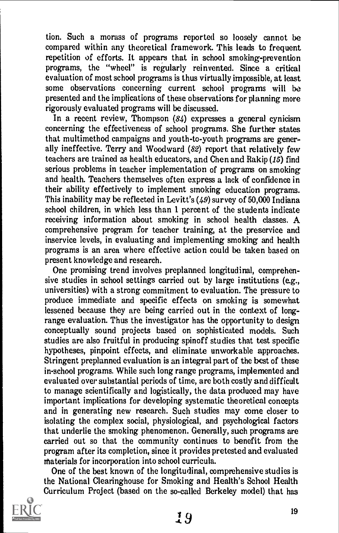tion. Such a morass of programs reported so loosely cannot be compared within any theoretical framework. This leads to frequent repetition of efforts. It appears that in school smoking-prevention programs, the "wheel" is regularly reinvented. Since a critical evaluation of most school programs is thus virtually impossible, at least some observations concerning current school programs will be presented and the implications of these observations for planning more rigorously evaluated programs will be discussed.

In a recent review, Thompson (84) expresses a general cynicism concerning the effectiveness of school programs. She further states that multimethod campaigns and youth-to-youth programs are generally ineffective. Terry and Woodward (82) report that relatively few teachers are trained as health educators, and Chen and Rakip (15) find serious problems in teacher implementation of programs on smoking and health. Teachers themselves often express a lack of confidence in their ability effectively to implement smoking education programs. This inability may be reflected in Levitt's  $(49)$  survey of 50,000 Indiana school children, in which less than 1 percent of the students indicate receiving information about smoking in school health classes. A comprehensive program for teacher training, at the preservice and inservice levels, in evaluating and implementing smoking and health programs is an area where effective action could be taken based on present knowledge and research.

One promising trend involves preplanned longitudinal, comprehensive studies in school settings carried out by large institutions (e.g., universities) with a strong commitment to evaluation. The pressure to produce immediate and specific effects on smoking is somewhat lessened because they are being carried out in the context of longrange evaluation. Thus the investigator has the opportunity to design conceptually sound projects based on sophisticated models. Such studies are also fruitful in producing spinoff studies that test specific hypotheses, pinpoint effects, and eliminate unworkable approaches. Stringent preplanned evaluation is an integral part of the best of these in-school programs. While such long range programs, implemented and evaluated over substantial periods of time, are both costly and difficult to manage scientifically and logistically, the data produced may have important implications for developing systematic theoretical concepts and in generating new research. Such studies may come closer to isolating the complex social, physiological, and psychological factors that underlie the smoking phenomenon. Generally, such programs are carried out so that the community continues to benefit from the program after its completion, since it provides pretested and evaluated Materials for incorporation into school curricula.

One of the best known of the longitudinal, comprehensive studies is the National Clearinghouse for Smoking and Health's School Health Curriculum Project (based on the so-called Berkeley model) that has

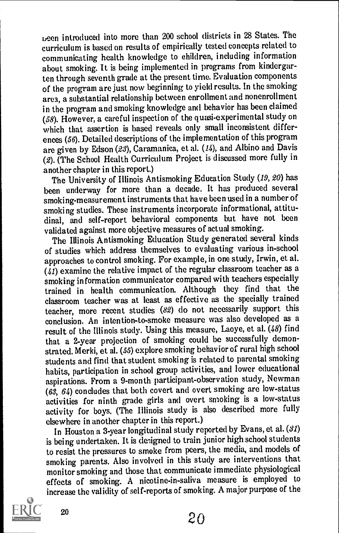been introduced into more than 200 school districts in 28 States. The curriculum is based on results of empirically tested concepts related to communicating health knowledge to children, i ncluding information about smoking. It is being implemented in programs from kindergarten through seventh grade at the present time. Evaluation components of the program are just now beginning to yield results. In the smoking area, a substantial relationship between enrollment and nonenrollment in the program and smoking knowledge and behavior has been claimed (58). However, a careful inspection of the quasi-experimental study on which that assertion is based reveals only small inconsistent differences (56). Detailed descriptions of the implementation of this program are given by Edson (23), Caramanica, et al. (14), and Albino and Davis (2). (The School Health Curriculum Project is discussed more fully in another chapter in this report.)

The University of Illinois Antismoking Education Study (19, 20) has been underway for more than a decade. It has produced several smoking-measurement instruments that have been used in a numberof smoking studies. These instruments incorporate informational, attitudinal, and self-report behavioral components but have not been validated against more objective measures of actual smoking.

The Illinois Antismoking Education Study generated several kinds of studies which address themselves to evaluating various in-school approaches to control smoking. For example, in one study, Irwin, et al.  $(41)$  examine the relative impact of the regular classroom teacher as a smoking information communicator compared with teachers especially trained in health communication. Although they find that the classroom teacher was at least as effective as the specially trained teacher, more recent studies (82) do not necessarily support this conclusion. An intention-to-smoke measure was also developed as a result of the Illinois study. Using this measure, Laoye, et al. (48) find that a 2-year projection of smoking could be successfully demonstrated. Merki, et al. (55) explore smoking behavior of rural high school students and find that student smoking is related to parental smoking habits, participation in school group activities, and lower educational aspirations. From a 9-month participant-observation study, Newman (63, 64) concludes that both covert and overt smoking are low-status activities for ninth grade girls and overt smoking is a low-status activity for boys. (The Illinois study is also described more fully elsewhere in another chapter in this report.)

In Houston a 3-year longitudinal study reported by Evans, et al. (31) is being undertaken. It is designed to train junior high school students to resist the pressures to smoke from peers, the media, and models of smoking parents. Also involved in this study are interventions that monitor smoking and those that communicate immediate physiological effects of smoking. A nicotine-in-saliva measure is employed to increase the validity of self-reports of smoking. A major purpose of the



 $20$  20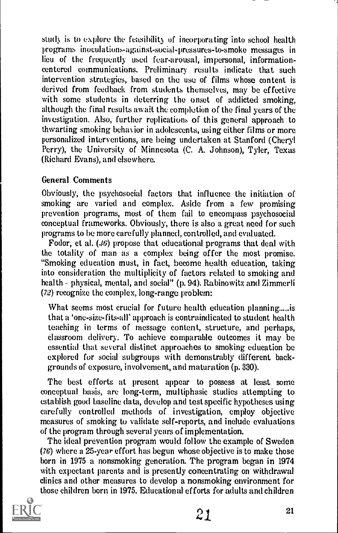study is to explore the feasibility of incorporating into school health programs inoculations-against-social-pressures-to-smoke messages in lieu of the frequently used fear-arousal, impersonal, informationcentered communications. Preliminary results indicate that such intervention strategies, based on the use of films whose content is derived from feedback from students themselves, may be effective with some students in deterring the onset of addicted smoking, although the final results await the completion of the final years of the investigation. Also, further replications of this general approach to thwarting smoking behavior in adolescents, using either films or more personalized interventions, are being undertaken at Stanford (Cheryl Perry), the University of Minnesota (C. A. Johnson), Tyler, Texas (Richard Evans), and elsewhere.

#### General Comments

Obviously, the psychosocial factors that influence the initiation of smoking are varied and complex. Aside from a few promising prevention programs, most of them fail to encompass psychosocial conceptual frameworks. Obviously, there is also a great need for such programs to be more carefully planned, contmlled, and evaluated.

Fodor, et al.  $(36)$  propose that educational programs that deal with the totality of man as a complex being offer the most promise. "Smoking education must, in fact, become health education, taking into consideration the multiplicity of factors related to smoking and health - physical, mental, and social" (p. 94). Rabinowitz and Zimmerli (72) recognize the complex, long-range problem:

What seems most crucial for future health education planning.....is that a 'one-size-fits-all' approach is contraindicated to student health teaching in terms of message content, structure, and perhaps, classroom delivery. To achieve comparable outcomes it may be essential that several distinct approaches to smoking education be explored for social subgroups with demonstrably different backgrounds of exposure, involvement, and maturation (p. 330).

The best efforts at present appear to possess at least some conceptual basis, are long-term, multiphasic studies attempting to establish good baseline data, develop and test specific hypotheses using carefully controlled methods of investigation, employ objective measures of smoking to validate self-reports, and include evaluations of the program through several years of implementation.

The ideal prevention program would follow the example of Sweden (76) where a 25-year effort has begun whose objective is to make those born in 1975 a nonsmoking generation. The program began in 1974 with expectant parents and is presently concentrating on withdrawal clinics and other measures to develop a nonsmoking environment for those children born in 1975. Educational efforts for adults and children

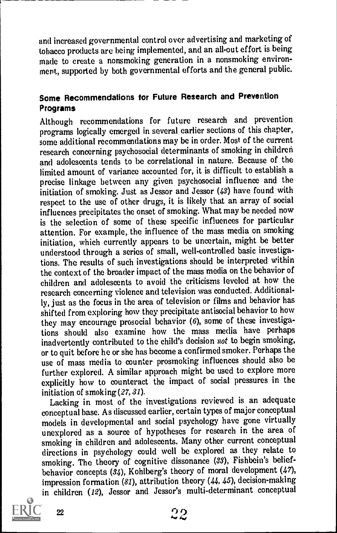and increased governmental control over advertising and marketing of tobacco products are being implemented, and an all-out effort is being made to create a nonsmoking generation in a nonsmoking environment, supported by both governmental efforts and the general public.

#### Some Recommendations for Future Research and Prevention Programs

Although recommendations for future research and prevention programs logically emerged in several earlier sections of this chapter, some additional recommendations may be in order. Most of the current research concerning psyehosocial determinants of smoking in children and adolescents tends to be correlational in nature. Because of the limited amount of variance accounted for, it is difficult to establish a precise linkage between any given psychosocial influence and the initiation of smoking. Just as Jessor and Jessor (43) have found with respect to the use of other drugs, it is likely that an array of social influences precipitates the onset of smoking. What may be needed now is the selection of some of these specific influences for particular attention. For example, the influence of the mass media on smoking initiation, which currently appears to be uncertain, might be better understood through a series of small, well-controlled basic investigations. The results of such investigations should be interpreted within the context of the broader impact of the mass media on the behavior of children and adolescents to avoid the criticisms leveled at how the research concerning violence and television was conducted. Additionally, just as the focus in the area of television or films and behavior has shifted from exploring how they precipitate antisocial behavior to how they may encourage prosocial behavior (6), some of these investigations should also examine how the mass media have perhaps inadvertently contributed to the child's decision not to begin smoking, or to quit before he or she has become a confirmed smoker. Perhaps the use of mass media to counter prosmoking influences should also be further explored. A similar approach might be used to explore more explicitly how to counteract the impact of social pressures in the initiation of smoking (27, 31).

Lacking in most of the investigations reviewed is an adequate conceptual base. As discussed earlier, certain types of major conceptual models in developmental and social psychology have gone virtually unexplored as a source of hypotheses for research in the area of smoking in children and adolescents. Many other current conceptual directions in psychology could well be explored as they relate to smoking. The theory of cognitive dissonance (33), Fishbein's beliefbehavior concepts  $(34)$ , Kohlberg's theory of moral development  $(47)$ , impression formation (81), attribution theory (44. 45), decision-making in children (12), Jessor and Jessor's multi-determinant conceptual

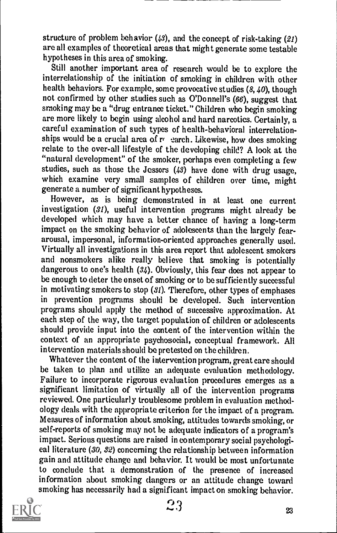structure of problem behavior  $(43)$ , and the concept of risk-taking  $(21)$ are all examples of theoretical areas that might generate some testable hypotheses in this area of smoking.

Still another important area of research would be to explore the interrelationship of the initiation of smoking in children with other health behaviors. For example, some provocative studies (8, 40), though not confirmed by other studies such as O'Donnell's (66), suggest that smoking may be a "drug entrance ticket." Children who begin smoking are more likely to begin using alcohol and hard narcotics. Certainly, a careful examination of such types of health-behavioral interrelationships would be a crucial area of  $r$  earch. Likewise, how does smoking relate to the over-all lifestyle of the developing child? A look at the "natural development" of the smoker, perhaps even completing a few studies, such as those the Jessors (43) have done with drug usage, which examine very small samples of children over time, might generate a number of significant hypotheses.

However, as is being demonstrated in at least one current investigation (31), useful intervention programs might already be developed which may have a better chance of having a long-term impact on the smoking behavior of adolescents than the largely feararousal, impersonal, information-oriented approaches generally used. Virtually all investigations in this area report that adolescent smokers and nonsmokers alike really believe that smoking is potentially dangerous to one's health (34). Obviously, this fear does not appear to be enough to deter the onset of smoking or to be sufficiently successful in motivating smokers to stop  $(31)$ . Therefore, other types of emphases in prevention programs should be developed. Such intervention programs should apply the method of successive approximation. At each step of the way, the target population of children or adolescents should provide input into the content of the intervention within the context of an appropriate psychosocial, conceptual framework. All intervention materials should be pretested on the children.

Whatever the content of the intervention program, great care should be taken to plan and utilize an adequate evaluation methodology. Failure to incorporate rigorous evaluation procedures emerges as a significant limitation of virtually all of the intervention programs reviewed. One particularly troublesome problem in evaluation methodology deals with the appropriate criterion for the impact of a program. Measures of information about smoking, attitudes towards smoking, or self-reports of smoking may not be adequate indicators of a program's impact. Serious questions are raised in contemporary social psychological literature (30, 32) concerning the relationship between information gain and attitude change and behavior. It would be most unfortunate to conclude that a demonstration of the presence of increased information about smoking dangers or an attitude change toward smoking has necessarily had a signif icant impact on smoking behavior.

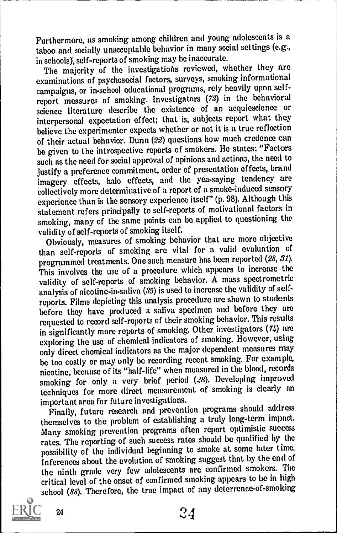Furthermore, as smoking among children and young adolescents is a taboo and socially unacceptable behavior in many social settings (e.g., in schools), self-reports of smoking may be inaccurate.

The majority of the investigations reviewed, whether they are examinations of psychosocial factors, surveys, smoking informational campaigns, or in-school educational programs, rely heavily upon selfreport measures of smoking. Investigators (73) in the behavioral science literature describe the existence of an acquiescience or interpersonal expectation effect; that is, subjects report what they believe the experimenter expects whether or not it is a true reflection of their actual behavior. Dunn (22) questions how much credence can be given to the introspective reports of smokers. He states: "Factors such as the need for social approval of opinionsand actions, the need to justify a preference commitment, order of presentation effects, brand imagery effects, halo effects, and the yea-saying tendency are collectively more determinative of a report of a smoke-induced sensory experience than is the sensory experience itself" (p. 98). Although this statement refers principally to self-reports of motivational factors in smoking, many of the same points can be applied to questioning the validity of self-reports of smoking itself.

Obviously, measures of smoking behavior that are more objective than self-reports of smoking are vital for a valid evaluation of programmed treatments. One such measure has been reported (28, 31). This involves the use of a procedure which appears to increase the validity of self-reports of smoking behavior. A mass spectrometric analysis of nicotine-in-saliva (30) is used to increase the validity of selfreports. Films depicting this analysis procedure are shown to students before they have produced a saliva specimen and before they are requested to record self-reports of their smoking behavior. This results in significantly more reports of smoking. Other investigators (74) are exploring the use of chemical indicators of smoking. However, using only direct chemical indicators as the major dependent measures may be too costly or may unly be recording recent smoking. For example, nicotine, became of its "half-life" when measured in the blood, records smoking for only a very brief period (28). Developing improved techniques for more direct measurement. of smoking is clearly an important area for future investigations.

Finally, future research and prevention programs should address themselves to the problem of establishing a truly long-term impact. Many smoking prevention programs often report optimistic success rates. The reporting of such success rates should be qualified by the possibility of the individual beginning to smoke at some later time. Inferences about the evolution of smoking suggest that by the end of the ninth grade very few adolescents are confirmed smokers. The critical level of the onset of confirmed smoking appears to be in high school (88). Therefore, the true impact of any deterrence-of-smoking



 $24$   $24$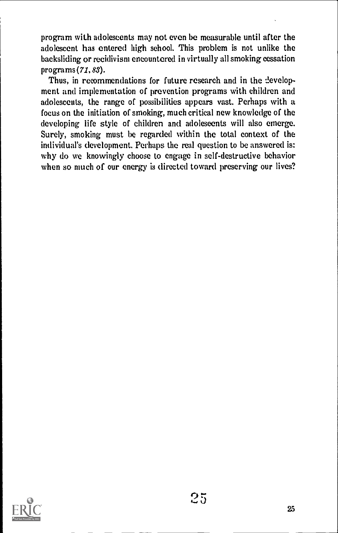program with adolescents may not even be measurable until after the adolescent has entered high school. This problem is not unlike the backsliding or recidivism encountered in virtually all smoking cessation programs (71, 83).

Thus, in recommendations for future research and in the development and implementation of prevention programs with children and adolescents, the range of possibilities appears vast. Perhaps with a focus on the initiation of smoking, much critical new knowledge of the developing life style of children and adolescents will also emerge. Surely, smoking must be regarded within the total context of the individual's development. Perhaps the real question to be answered is: why do we knowingly choose to engage in self-destructive behavior when so much of our energy is directed toward preserving our lives?

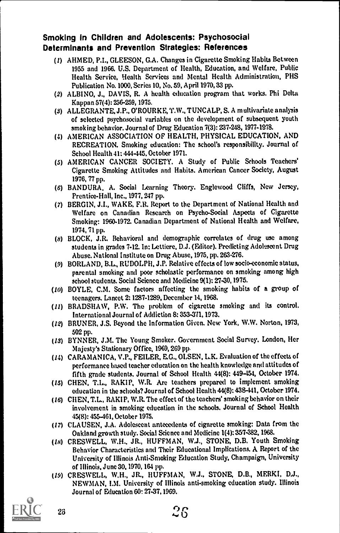#### Smoking in Children and Adolescents: Psychosocial Determinants and Prevention Strategies: References

- (/) AHMED, P.I., GLEESON, G.A. Changes in Cigarette Smoking Habits Between 1955 and 1966. U.S. Department of Health, Education, and Welfare, Public Health Service, Health Services and Mental Health Administration, PHS Publication No. 1000, Series 10, No. 59, April 1970, 33 pp.
- (2) ALBINO, J., DAVIS, R. A health education program that works. Phi Delta Kappan 57(4): 256-259, 1975.
- (3) ALLEGRANTE, J.P., O'ROURKE, T.W., TUNCALP, S. A multivariate analysis of selected psychosocial variables on the development of subsequent youth smoking behavior. Journal of Drug Education 7(3): 237-248, 1977-1978.
- (4) AMERICAN ASSOCIATION OF HEALTH, PHYSICAL EDUCATION, AND RECREATION. Smoking education: The school's responsibility. Journal of School Health 41: 444-445, October 1971.
- (5) AMERICAN CANCER SOCIETY. A Study of Public Schools Teachers' Cigarette Smoking Attitudes and Habits. American Cancer Society, August 1976, 77 pp.
- (6) BANDURA. A. Social Learning Theory. Englewood Cliffs, New Jersey, Prentice-Hall, Inc., 1977, 247 pp.
- (7) BERGIN, J.I., WAKE, F.R. Report to the Department of National Health and Welfare on Canadian Research on Psycho-Social Aspects of Cigarette Smoking: 1960-1972. Canadian Department of National Health and Welfare, 1974, 71 pp.
- (6) BLOCK, J.R. Behavioral and demographic correlates of drug use among students in grades 7-12. In: Lettiere, D.J. (Editor). Predicting Adolescent Drug Abuse. National Institute on Drug Abuse, 1975, pp. 263276.
- (9) BORLAND, B.L., RUDOLPH, J.P. Relative effects of low socio-economic status, parental smoking and poor scholastic performance on smoking among high school students. Social Science and Medicine 9(1): 27-30, 1975.
- (10) BOYLE, C.M. Some factors affecting the smoking habits of a group of teenagers. Lancet 2: 1287-1289, December 14, 1968.
- (11) BRADSHAW, P.W. The problem of cigarette smoking and its control. International Journal of Addiction 8: 353-371, 1973.
- (12) BRUNER, J.S. Beyond the Information Given. New York, W.W. Norton, 1973, 502 pp.
- (13) BYNNER, J.M. The Young Smoker. Government Social Survey. London, Her Majesty's Stationary Office, 1969, 269 pp.
- (14) CARAMANICA, V.P., FEILER, E.G., OLSEN, LK. Evaluation of the effects of performance based teacher education on the health knowledge and attitudes of fifth grade students. Journal of School Health 44(8): 449454, October 1974.
- (15) CHEN, T.L., RAKIP, W.R. Are teachers prepared to implement smoking education in the schools? Journal of School Health 44(8): 438-441, October 1974.
- (16) CHEN. T.L., RAKIP, W.R. The effect of the teachers' smoking behavior on their involvement in smoking education in the schools. Journal of School Health 45(8): 455-461, October 1975.
- (17) CLAUSEN, J.A. Adolescent antecedents of cigarette smoking: Data from the Oakland growth study. Social Science anti Medicine 1(4): 357-382, 1968.
- (18) CRESWELL, W.H.. JR., HUFFMAN, W.J., STONE, D.B. Youth Smoking Behavior Characteristics and Their Educational Implications. A Report of the University of Illinois Anti-Smoking Education Study, Champaign, University of Illinois. June 30. 1970, 164 pp.
- (19) CRESWELL, W.H., JR., HUFFMAN, W.J., STONE, D.B., MERKI, D.J., NEWMAN, I.M. University of Illinois anti-smoking education study. Illinois Journal of Education 60: 27-37, 1969.

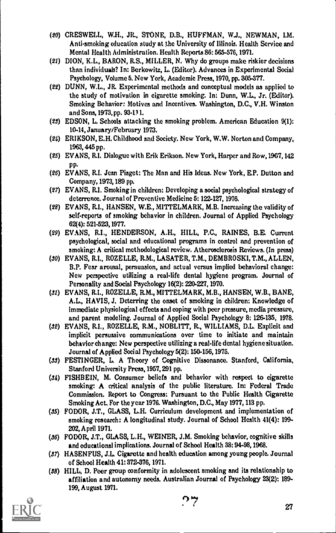- (20) CRESWELL, W.H., JR., STONE, D.B., HUFFMAN, W.J., NEWMAN, I.M. Anti-smoking education study at the University of Illinois. Health Service and Mental Health Administration. Health Reports 86: 565-576, 1971.
- (21) DION, K.L, BARON, R.S., MILLER, N. Why do groups make riskier decisions than individuals? In: Berkowitz, L. (Editor). Advances in Experimental Social Psychology, Volume 5. New York, Academic Press, 1970, pp. 305-377.
- (22) DUNN, W.L., JR. Experimental methods and conceptual models as applied to the study of motivation in cigarette smoking. In: Dunn, W.L, Jr. (Editor). Smoking Behavior: Motives and Incentives. Washington, D.C., V.H. Winston and Sons, 1973,pp. 93-111.
- (23) EDSON, L. Schools attacking the smoking problem. American Education 9(1): 10-14, January/February 1973.
- (24) ERIKSON, E.H. Childhood and Society. New York, W.W. Norton and Company, 1963, 445 pp.
- (25) EVANS, RI. Dialogue with Erik Erikson. New York, Harper and Row, 1967,142 pp.
- (26) EVANS, R.I. Jean Piaget: The Man and His Ideas. New York, E.P. Dutton and Company, 1973,189 pp.
- (27) EVANS, R.I. Smoking in children: Developing a social psychological strategy of deterrence. Journal of Preventive Medicine 5: 122-127, 1976.
- (28) EVANS, R.I., HANSEN, W.E., MITTELMARK, M.B. Increasing the validity of self-reports of smoking behavior in children. Journal of Applied Psychology 62(4): 521-523, 1977.
- (29) EVANS, R.I., HENDERSON, A.H., HILL, P.C., RAINES, B.E. Current psychological, social and educational programs in control and prevention of smoking: A critical methodological review. Atherosclerosis Reviews. (In press)
- (30) EVANS, R.I., ROZELLE, R.M., LASATER, T.M., DEMBROSKI, T.M., ALLEN, B.P. Fear arousal, persuasion, and actual versus implied behavioral change: New perspective utilizing a real-life dental hygiene program. Journal of Personality and Social Psychology 16(2): 220-227, 1970.
- (31) EVANS, RI., ROZELLE, R.M., MITTELMARK, M.B., HANSEN, W.B., BANE, A.L, HAVIS, J. Deterring the onset of smoking in children: Knowledge of immediate physiological effects and coping with peer pressure, media pressure, and parent modeling. Journal of Applied Social Psychology 8: 126-135, 1978.
- (32) EVANS, R.I., ROZELLE, R.M., NOBLITT, R., WILLIAMS, D.L Explicit and implicit persuasive communications over time to initiate and maintain behavior change: New perspective utilizing a real-life dental hygiene situation. Journal of Applied Social Psychology 5(2): 150-156, 1975.
- (33) FESTINGER, L. A Theory of Cognitive Dissonance. Stanford, California, Stanford University Press, 1957,291 pp.
- (34) FISHBEIN, M. Consumer beliefs and behavior with respect to cigarette smoking: A critical analysis of the public literature. In: Federal Trade Commission. Report to Congress: Pursuant to the Public Health Cigarette Smoking Act, For the year 1976. Washington, D.C., May 1977, 113 pp.
- (35) FODOR, J.T., GLASS, L.H. Curriculum development and implementation of smoking research: A longitudinal study. Journal of School Health 41(4): 199- 202, April 1971.
- (36) FODOR, J.T., GLASS, L.H., WEINER, J.M. Smoking behavior, cognitive skills and educational implications. Journal of School Health 38: 94-98, 1968.
- (37) HASENFUS, J.L. Cigarette and health education among young people. Journal of School Health 41: 372-376, 1971.
- (38) HILL, D. Peer group conformity in adolescent smoking and its relationship to affiliation and autonomy needs. Australian Journal of Psychology 23(2): 189- 199, August 1971.

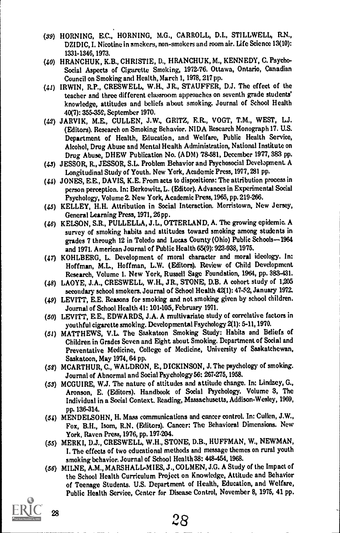- (39) HORNING, E.C., HORNING, M.G., CARROLL, D.I., STILLWELL, RN., DZIDIC, I. Nicotine in amokers, non-smokers and room air. Life Science 13(10): 1331-1346, 1973.
- (40) HRANCHUK, K.B., CHRISTIE, D., HRANCHUK, M., KENNEDY, C. Psycho-Social Aspects of Cigarette Smoking, 1972-76. Ottawa, Ontario, Canadian Council on Smoking and Health, March 1, 1978, 217 pp.
- (41) IRWIN, RP., CRESWELL, W.H., JR, STAUFFER, D.J. The effect of the teacher and three different classroom approaches on seventh grade students' knowledge, attitudes and beliefs about smoking. Journal of School Health 40(7): 355-35% September 1970.
- (42) JARVIK, M.E., CULLEN, J.W., GRITZ, RR., VOGT, T.M., WEST, U. (Editors). Research on Smoking Behavior. NIDA Research Monograph 17. U.S. Department of Health, Education, and Welfare, Public Health Service, Alcohol, Drug Abuse and Mental Health Administration, National Institute on Drug Abuse, DHEW Publication No. (ADM) 78-581, December 1977, 383 pp.
- (43) JESSOR, R., JESSOR, S.L. Problem Behavior and Psychosocial Development. A Longitudinal Study of Youth. New York, Academic Press, 1977, 281 pp.
- (44) JONES, E.E., DAVIS, K.E. From acts to dispositions: The attribution process in peraon perception. In: Berkowitz, L. (Editor). Advances in Experimental Social Psychology, Volume 2. New York, Academic Press, 1965, pp. 219-266.
- (45) KELLEY, H.H. Attribution in Social Interaction. Morristown, New Jersey, General Learning Press, 1971, 26pp.
- (46) KELSON, S.R., PULLELLA, J.L., OTTERLAND, A. The growing epidemic. A survey of smoking habits and attitudes toward smoking among students in grades 7 through 12 in Toledo and Lucas County (Ohio) Public Schools-1964 and 1971. American Journal of Public Health 65(9): 923-938, 1975.
- (47) KOHLBERG, L. Development of moral character and moral ideology. In: Hoffman, M.L., Hoffman, L.W. (Editora). Review of Child Development Research, Volume 1. New York, Russell Sage Foundation, 1964, pp. 383-431.
- (48) LAOYE, J.A., CRESWELL, W.H., JR., STONE, D.B. A cohort study of 1,205 secondary school smokers. Journal of School Health 42(1): 47-52, January 1972.
- (49) LEVITT, E.E. Reasons for smoking and not amoking given by school children. Journal of School Health 41: 101-105, February 1971.
- (50) LEVITT, RE., EDWARDS, J.A. A multivariate study of correlative factors in youthful cigarette smoking. Developmental Fsychology 2(1): 5-11, 1970.
- (51) MATTHEWS, V.L. The Saakatoon Smoking Study: Habits and Beliefs of Children in Grades Seven and Eight about Smoking. Department of Social and Preventative Medicine, College of Medicine, University of Saskatchewan, Saskatoon, May 1974, 64 pp.
- (52) MCARTHUR, C., WALDRON, E., DICKINSON, J. The psychology of smoking. Journal of Abnormal and Social Psychology 56: 267-275, 1958.
- (53) MCGUIRE, W.J. The nature of attitudes and attitude change. In: Lindzey, G., Aronson, E. (Editors). Handbook of Social Psychology. Volume 3, The Individual in a Sovial Context. Reading, Massachusetts, Addison-Wesley, 1969, pp. 136-314.
- (54) MENDELSOHN, H. Mass communications and cancer control. In: Cullen, J.W., Fox, B.IL, Isom, R.N. (Editors). Cancer: The Behavioral Dimensions. New York, Raven Press, 1976, pp. 197-204.
- (55) MERKI, D.J., CRESWELL, W.H., STONE, D.B., HUFFMAN, W., NEWMAN, I. The effects of two educational methods and message themes on rural youth smoking behavior. Journal of School Health 38: 448-454, 1968.
- (56) MILNE, A.M., MARSHALL-MIES, J., COLMEN, J.G. A Study of the Impact of the School Health Curriculum Project on Knowledge, Attitude and Behavior of Teenage Students. U.S. Department of Health, Education, and Welfare, Public Health Service, Center for Disease Control, November 8, 1975, 41 pp.

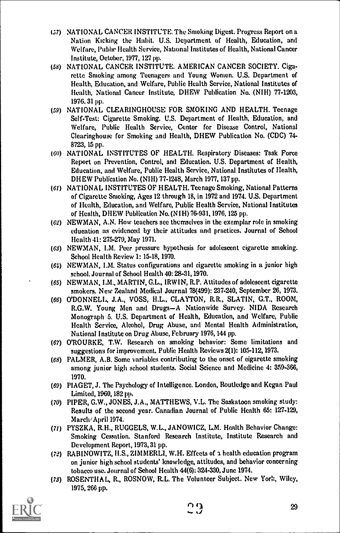- 157) NATIONAL CANCER INSTITUTE. The Smoking Digest. Progress Report on a Nation Kicking the Habit. U.S. Department of Health, Education, and Welfare, Pubhu Health Service, National Institutes of Health, National Cancer Institute, October, 1977, 127 pp.
- (58) NATIONAL CANCER INSTITUTE. AMERICAN CANCER SOCIETY. Cigarette Smoking among Teenagers and Young Women. U.S. Department of Health, Education, and Welfare, Public Health Service, National Institutes of Health, National Cancer Institute, DHEW Publication No. (NIH) 77-1203, 1976. 31 pp.
- (59) NATIONAL CLEARINGHOUSE FOR SMOKING AND HEALTH. Teenage Self-Test: Cigarette Smoking. U.S. Department of Health, Education, and Welfare, Public Health Service, Center for Disease Control, National Clearinghouse for Smoking and Health, DHEW Publication No. (CDC) 74- 8723, 15 pp.
- (60) NATIONAL INSTITUTES OF HEALTH. Respiratory Diseases: Task Force Report on Prevention, Control, and Education. U.S. Department of Health, Education, and Welfare, Public Health Service, National Institutes of Health, DHEW Publication No. (NIH) 77-1248, March 1977, 137 pp.
- (6!) NATIONAL INSTITUTES OF HEALTH. Teenage Smoking, National Patterns of Cigarette Smoking, Ages 12 through 18, in 1972 and 1974. U.S. Department of Health, Education, and Welfare, Public Health Service, National Institutes of Health, DHEW Publication No. (N1H) 76-931, 1976, 125 pp.
- (62) NEWMAN, A.N. How teachers see themselves in the exemplar role in smoking education as evidenced by their attitudes and practices. Journal of School Health 41: 275-279, May 1971.
- (63) NEWMAN, I.M. Peer pressure hypothesis for adolescent cigarette smoking. School Health Review 1: 15-18, 1970.
- (64) NEWMAN, I.M. Status configurations and cigarette smoking in a junior high school. Journal of School Health 40: 28-31, 1970.
- (65) NEWMAN, LM., MARTIN, G.L., IRWIN, R.P. Attitudes of adolescent cigarette smokers. New Zealand Medical Journal 78(499): Z37-240, September 26, 1973.
- (66) O'DONNELL, J.A., VOSS, H.L., CLAYTON, R.R., SLATIN, G.T., ROOM, R.G.W. Young Men and Drugs--A Nationwide Survey. NIDA Research Monograph 5. U.S. Department of Health, Education, and Welfare, Public Health Service, Akohol, Drug Abuse, and Mental Health Administration, National Institute on Drug Abuse, February 1976, 144 pp.
- (67) O'ROURKE, T.W. Research on smoking behavior: Some limitations and suggestions for improvement. Public Health Reviews 2(1): 105-112, 1973.
- (68) PALMER, A.B. Some variables contributing to the onset of cigarette smoking among junior high school students. Social Science and Medicine 4: 359-366, 1970.
- (69) PIAGET, J. The Psychology of Intelligence. London, Routledge and Kegan Paul Limited, 1960, 182 pp,
- (70) PIPER, G.W., JONES, J.A., MATTHEWS, V.L. The Saskatoon smoking study: Resulth of the second year. Canadian Journal of Public Health 65: 127-129, Mardi/April 1974.
- (71) PYSZKA, R.H., RUGGELS, W.L., JANOWICZ, LM. Health Behavior Change: Smoking Cessation. Stanford Research Institute, Institute Research and Development Report, 1973,31 pp.
- (72) RABINOWITZ, H.S., ZIMMERLI, W.H. Effects of a health education program on junior high school students' knowledge, attitudes, and behavior concerning tobacco use. Journal of School Health 44(6): 324-330, June 1974.
- (73) ROSENTHAL, R., ROSNOW, R.L. The Volunteer Subject. New Yorl:, Wiley, 1975, 266 pp.